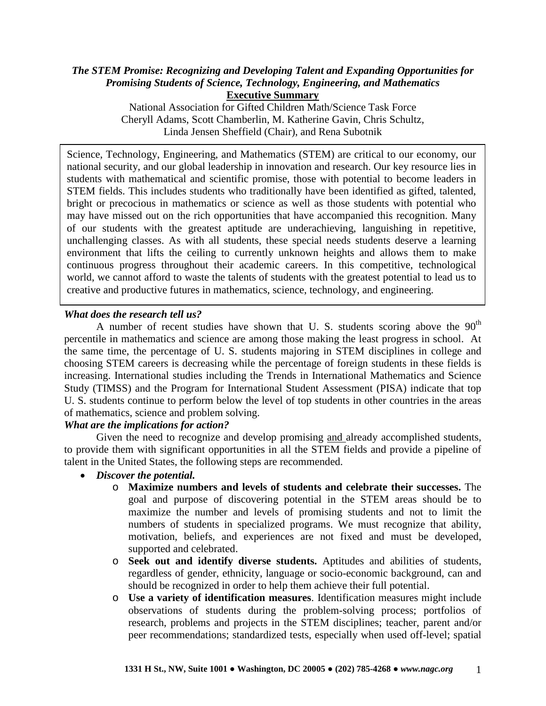### *The STEM Promise: Recognizing and Developing Talent and Expanding Opportunities for Promising Students of Science, Technology, Engineering, and Mathematics* **Executive Summary**

National Association for Gifted Children Math/Science Task Force Cheryll Adams, Scott Chamberlin, M. Katherine Gavin, Chris Schultz, Linda Jensen Sheffield (Chair), and Rena Subotnik

Science, Technology, Engineering, and Mathematics (STEM) are critical to our economy, our national security, and our global leadership in innovation and research. Our key resource lies in students with mathematical and scientific promise, those with potential to become leaders in STEM fields. This includes students who traditionally have been identified as gifted, talented, bright or precocious in mathematics or science as well as those students with potential who may have missed out on the rich opportunities that have accompanied this recognition. Many of our students with the greatest aptitude are underachieving, languishing in repetitive, unchallenging classes. As with all students, these special needs students deserve a learning environment that lifts the ceiling to currently unknown heights and allows them to make continuous progress throughout their academic careers. In this competitive, technological world, we cannot afford to waste the talents of students with the greatest potential to lead us to creative and productive futures in mathematics, science, technology, and engineering.

## *What does the research tell us?*

A number of recent studies have shown that U. S. students scoring above the  $90<sup>th</sup>$ percentile in mathematics and science are among those making the least progress in school. At the same time, the percentage of U. S. students majoring in STEM disciplines in college and choosing STEM careers is decreasing while the percentage of foreign students in these fields is increasing. International studies including the Trends in International Mathematics and Science Study (TIMSS) and the Program for International Student Assessment (PISA) indicate that top U. S. students continue to perform below the level of top students in other countries in the areas of mathematics, science and problem solving.

## *What are the implications for action?*

Given the need to recognize and develop promising and already accomplished students, to provide them with significant opportunities in all the STEM fields and provide a pipeline of talent in the United States, the following steps are recommended.

- *Discover the potential.*
	- o **Maximize numbers and levels of students and celebrate their successes.** The goal and purpose of discovering potential in the STEM areas should be to maximize the number and levels of promising students and not to limit the numbers of students in specialized programs. We must recognize that ability, motivation, beliefs, and experiences are not fixed and must be developed, supported and celebrated.
	- o **Seek out and identify diverse students.** Aptitudes and abilities of students, regardless of gender, ethnicity, language or socio-economic background, can and should be recognized in order to help them achieve their full potential.
	- o **Use a variety of identification measures**. Identification measures might include observations of students during the problem-solving process; portfolios of research, problems and projects in the STEM disciplines; teacher, parent and/or peer recommendations; standardized tests, especially when used off-level; spatial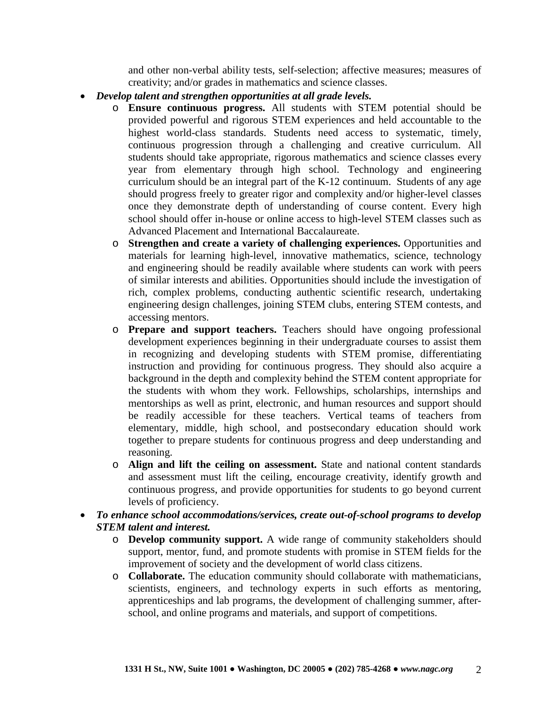and other non-verbal ability tests, self-selection; affective measures; measures of creativity; and/or grades in mathematics and science classes.

- *Develop talent and strengthen opportunities at all grade levels.*
	- o **Ensure continuous progress.** All students with STEM potential should be provided powerful and rigorous STEM experiences and held accountable to the highest world-class standards. Students need access to systematic, timely, continuous progression through a challenging and creative curriculum. All students should take appropriate, rigorous mathematics and science classes every year from elementary through high school. Technology and engineering curriculum should be an integral part of the K-12 continuum. Students of any age should progress freely to greater rigor and complexity and/or higher-level classes once they demonstrate depth of understanding of course content. Every high school should offer in-house or online access to high-level STEM classes such as Advanced Placement and International Baccalaureate.
	- o **Strengthen and create a variety of challenging experiences.** Opportunities and materials for learning high-level, innovative mathematics, science, technology and engineering should be readily available where students can work with peers of similar interests and abilities. Opportunities should include the investigation of rich, complex problems, conducting authentic scientific research, undertaking engineering design challenges, joining STEM clubs, entering STEM contests, and accessing mentors.
	- o **Prepare and support teachers.** Teachers should have ongoing professional development experiences beginning in their undergraduate courses to assist them in recognizing and developing students with STEM promise, differentiating instruction and providing for continuous progress. They should also acquire a background in the depth and complexity behind the STEM content appropriate for the students with whom they work. Fellowships, scholarships, internships and mentorships as well as print, electronic, and human resources and support should be readily accessible for these teachers. Vertical teams of teachers from elementary, middle, high school, and postsecondary education should work together to prepare students for continuous progress and deep understanding and reasoning.
	- o **Align and lift the ceiling on assessment.** State and national content standards and assessment must lift the ceiling, encourage creativity, identify growth and continuous progress, and provide opportunities for students to go beyond current levels of proficiency.
- *To enhance school accommodations/services, create out-of-school programs to develop STEM talent and interest.*
	- o **Develop community support.** A wide range of community stakeholders should support, mentor, fund, and promote students with promise in STEM fields for the improvement of society and the development of world class citizens.
	- o **Collaborate.** The education community should collaborate with mathematicians, scientists, engineers, and technology experts in such efforts as mentoring, apprenticeships and lab programs, the development of challenging summer, afterschool, and online programs and materials, and support of competitions.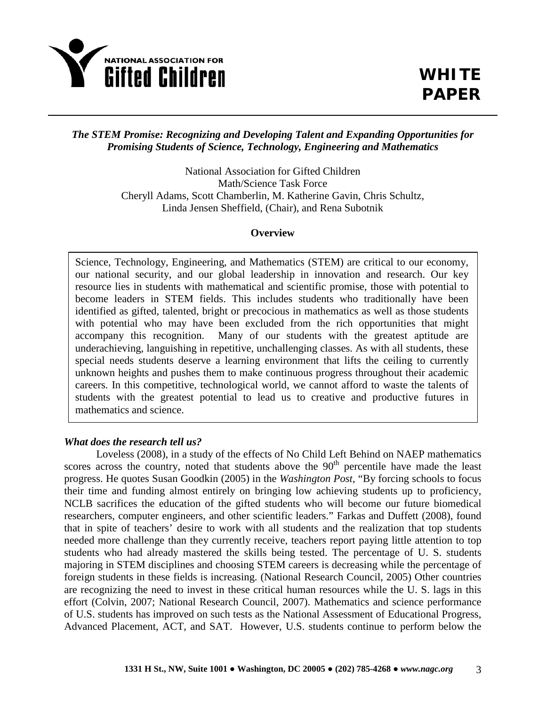

# *The STEM Promise: Recognizing and Developing Talent and Expanding Opportunities for Promising Students of Science, Technology, Engineering and Mathematics*

National Association for Gifted Children Math/Science Task Force Cheryll Adams, Scott Chamberlin, M. Katherine Gavin, Chris Schultz, Linda Jensen Sheffield, (Chair), and Rena Subotnik

### **Overview**

Science, Technology, Engineering, and Mathematics (STEM) are critical to our economy, our national security, and our global leadership in innovation and research. Our key resource lies in students with mathematical and scientific promise, those with potential to become leaders in STEM fields. This includes students who traditionally have been identified as gifted, talented, bright or precocious in mathematics as well as those students with potential who may have been excluded from the rich opportunities that might accompany this recognition. Many of our students with the greatest aptitude are underachieving, languishing in repetitive, unchallenging classes. As with all students, these special needs students deserve a learning environment that lifts the ceiling to currently unknown heights and pushes them to make continuous progress throughout their academic careers. In this competitive, technological world, we cannot afford to waste the talents of students with the greatest potential to lead us to creative and productive futures in mathematics and science.

## *What does the research tell us?*

Loveless (2008), in a study of the effects of No Child Left Behind on NAEP mathematics scores across the country, noted that students above the 90<sup>th</sup> percentile have made the least progress. He quotes Susan Goodkin (2005) in the *Washington Post*, "By forcing schools to focus their time and funding almost entirely on bringing low achieving students up to proficiency, NCLB sacrifices the education of the gifted students who will become our future biomedical researchers, computer engineers, and other scientific leaders." Farkas and Duffett (2008), found that in spite of teachers' desire to work with all students and the realization that top students needed more challenge than they currently receive, teachers report paying little attention to top students who had already mastered the skills being tested. The percentage of U. S. students majoring in STEM disciplines and choosing STEM careers is decreasing while the percentage of foreign students in these fields is increasing. (National Research Council, 2005) Other countries are recognizing the need to invest in these critical human resources while the U. S. lags in this effort (Colvin, 2007; National Research Council, 2007). Mathematics and science performance of U.S. students has improved on such tests as the National Assessment of Educational Progress, Advanced Placement, ACT, and SAT. However, U.S. students continue to perform below the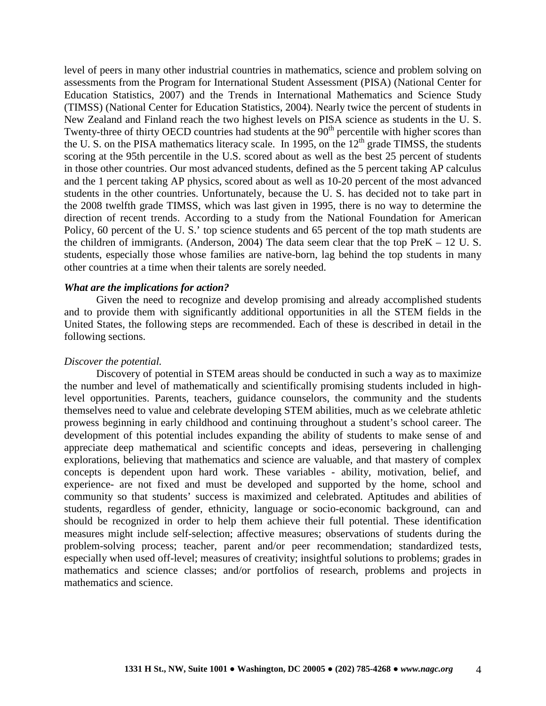level of peers in many other industrial countries in mathematics, science and problem solving on assessments from the Program for International Student Assessment (PISA) (National Center for Education Statistics, 2007) and the Trends in International Mathematics and Science Study (TIMSS) (National Center for Education Statistics, 2004). Nearly twice the percent of students in New Zealand and Finland reach the two highest levels on PISA science as students in the U. S. Twenty-three of thirty OECD countries had students at the 90<sup>th</sup> percentile with higher scores than the U. S. on the PISA mathematics literacy scale. In 1995, on the  $12<sup>th</sup>$  grade TIMSS, the students scoring at the 95th percentile in the U.S. scored about as well as the best 25 percent of students in those other countries. Our most advanced students, defined as the 5 percent taking AP calculus and the 1 percent taking AP physics, scored about as well as 10-20 percent of the most advanced students in the other countries. Unfortunately, because the U. S. has decided not to take part in the 2008 twelfth grade TIMSS, which was last given in 1995, there is no way to determine the direction of recent trends. According to a study from the National Foundation for American Policy, 60 percent of the U. S.' top science students and 65 percent of the top math students are the children of immigrants. (Anderson, 2004) The data seem clear that the top PreK – 12 U. S. students, especially those whose families are native-born, lag behind the top students in many other countries at a time when their talents are sorely needed.

### *What are the implications for action?*

Given the need to recognize and develop promising and already accomplished students and to provide them with significantly additional opportunities in all the STEM fields in the United States, the following steps are recommended. Each of these is described in detail in the following sections.

### *Discover the potential.*

Discovery of potential in STEM areas should be conducted in such a way as to maximize the number and level of mathematically and scientifically promising students included in highlevel opportunities. Parents, teachers, guidance counselors, the community and the students themselves need to value and celebrate developing STEM abilities, much as we celebrate athletic prowess beginning in early childhood and continuing throughout a student's school career. The development of this potential includes expanding the ability of students to make sense of and appreciate deep mathematical and scientific concepts and ideas, persevering in challenging explorations, believing that mathematics and science are valuable, and that mastery of complex concepts is dependent upon hard work. These variables - ability, motivation, belief, and experience- are not fixed and must be developed and supported by the home, school and community so that students' success is maximized and celebrated. Aptitudes and abilities of students, regardless of gender, ethnicity, language or socio-economic background, can and should be recognized in order to help them achieve their full potential. These identification measures might include self-selection; affective measures; observations of students during the problem-solving process; teacher, parent and/or peer recommendation; standardized tests, especially when used off-level; measures of creativity; insightful solutions to problems; grades in mathematics and science classes; and/or portfolios of research, problems and projects in mathematics and science.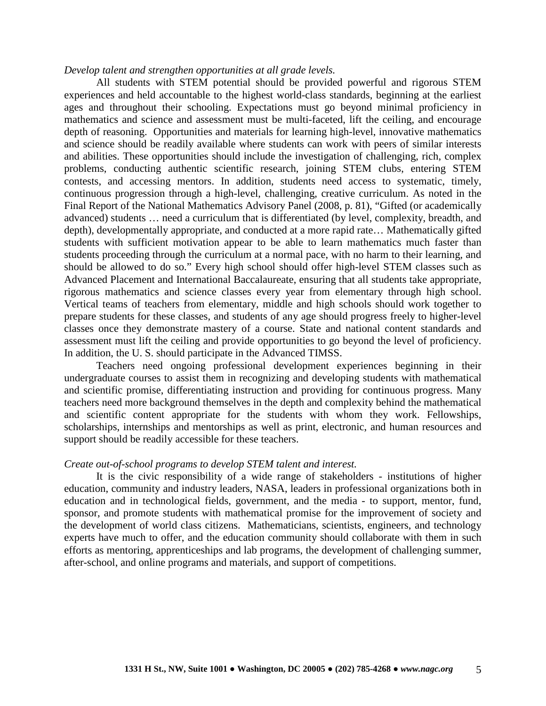### *Develop talent and strengthen opportunities at all grade levels.*

All students with STEM potential should be provided powerful and rigorous STEM experiences and held accountable to the highest world-class standards, beginning at the earliest ages and throughout their schooling. Expectations must go beyond minimal proficiency in mathematics and science and assessment must be multi-faceted, lift the ceiling, and encourage depth of reasoning. Opportunities and materials for learning high-level, innovative mathematics and science should be readily available where students can work with peers of similar interests and abilities. These opportunities should include the investigation of challenging, rich, complex problems, conducting authentic scientific research, joining STEM clubs, entering STEM contests, and accessing mentors. In addition, students need access to systematic, timely, continuous progression through a high-level, challenging, creative curriculum. As noted in the Final Report of the National Mathematics Advisory Panel (2008, p. 81), "Gifted (or academically advanced) students … need a curriculum that is differentiated (by level, complexity, breadth, and depth), developmentally appropriate, and conducted at a more rapid rate… Mathematically gifted students with sufficient motivation appear to be able to learn mathematics much faster than students proceeding through the curriculum at a normal pace, with no harm to their learning, and should be allowed to do so." Every high school should offer high-level STEM classes such as Advanced Placement and International Baccalaureate, ensuring that all students take appropriate, rigorous mathematics and science classes every year from elementary through high school. Vertical teams of teachers from elementary, middle and high schools should work together to prepare students for these classes, and students of any age should progress freely to higher-level classes once they demonstrate mastery of a course. State and national content standards and assessment must lift the ceiling and provide opportunities to go beyond the level of proficiency. In addition, the U. S. should participate in the Advanced TIMSS.

Teachers need ongoing professional development experiences beginning in their undergraduate courses to assist them in recognizing and developing students with mathematical and scientific promise, differentiating instruction and providing for continuous progress. Many teachers need more background themselves in the depth and complexity behind the mathematical and scientific content appropriate for the students with whom they work. Fellowships, scholarships, internships and mentorships as well as print, electronic, and human resources and support should be readily accessible for these teachers.

#### *Create out-of-school programs to develop STEM talent and interest.*

It is the civic responsibility of a wide range of stakeholders - institutions of higher education, community and industry leaders, NASA, leaders in professional organizations both in education and in technological fields, government, and the media - to support, mentor, fund, sponsor, and promote students with mathematical promise for the improvement of society and the development of world class citizens. Mathematicians, scientists, engineers, and technology experts have much to offer, and the education community should collaborate with them in such efforts as mentoring, apprenticeships and lab programs, the development of challenging summer, after-school, and online programs and materials, and support of competitions.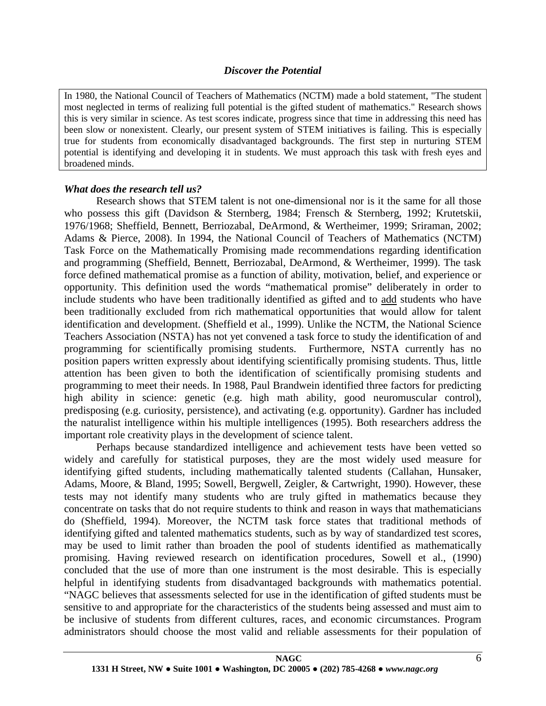## *Discover the Potential*

In 1980, the National Council of Teachers of Mathematics (NCTM) made a bold statement, "The student most neglected in terms of realizing full potential is the gifted student of mathematics." Research shows this is very similar in science. As test scores indicate, progress since that time in addressing this need has been slow or nonexistent. Clearly, our present system of STEM initiatives is failing. This is especially true for students from economically disadvantaged backgrounds. The first step in nurturing STEM potential is identifying and developing it in students. We must approach this task with fresh eyes and broadened minds.

# *What does the research tell us?*

Research shows that STEM talent is not one-dimensional nor is it the same for all those who possess this gift (Davidson & Sternberg, 1984; Frensch & Sternberg, 1992; Krutetskii, 1976/1968; Sheffield, Bennett, Berriozabal, DeArmond, & Wertheimer, 1999; Sriraman, 2002; Adams & Pierce, 2008). In 1994, the National Council of Teachers of Mathematics (NCTM) Task Force on the Mathematically Promising made recommendations regarding identification and programming (Sheffield, Bennett, Berriozabal, DeArmond, & Wertheimer, 1999). The task force defined mathematical promise as a function of ability, motivation, belief, and experience or opportunity. This definition used the words "mathematical promise" deliberately in order to include students who have been traditionally identified as gifted and to add students who have been traditionally excluded from rich mathematical opportunities that would allow for talent identification and development. (Sheffield et al., 1999). Unlike the NCTM, the National Science Teachers Association (NSTA) has not yet convened a task force to study the identification of and programming for scientifically promising students. Furthermore, NSTA currently has no position papers written expressly about identifying scientifically promising students. Thus, little attention has been given to both the identification of scientifically promising students and programming to meet their needs. In 1988, Paul Brandwein identified three factors for predicting high ability in science: genetic (e.g. high math ability, good neuromuscular control), predisposing (e.g. curiosity, persistence), and activating (e.g. opportunity). Gardner has included the naturalist intelligence within his multiple intelligences (1995). Both researchers address the important role creativity plays in the development of science talent.

Perhaps because standardized intelligence and achievement tests have been vetted so widely and carefully for statistical purposes, they are the most widely used measure for identifying gifted students, including mathematically talented students (Callahan, Hunsaker, Adams, Moore, & Bland, 1995; Sowell, Bergwell, Zeigler, & Cartwright, 1990). However, these tests may not identify many students who are truly gifted in mathematics because they concentrate on tasks that do not require students to think and reason in ways that mathematicians do (Sheffield, 1994). Moreover, the NCTM task force states that traditional methods of identifying gifted and talented mathematics students, such as by way of standardized test scores, may be used to limit rather than broaden the pool of students identified as mathematically promising. Having reviewed research on identification procedures, Sowell et al., (1990) concluded that the use of more than one instrument is the most desirable. This is especially helpful in identifying students from disadvantaged backgrounds with mathematics potential. "NAGC believes that assessments selected for use in the identification of gifted students must be sensitive to and appropriate for the characteristics of the students being assessed and must aim to be inclusive of students from different cultures, races, and economic circumstances. Program administrators should choose the most valid and reliable assessments for their population of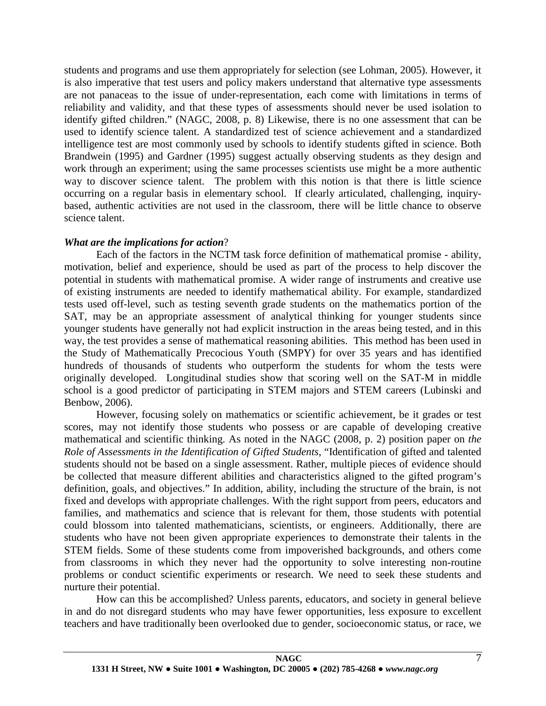students and programs and use them appropriately for selection (see Lohman, 2005). However, it is also imperative that test users and policy makers understand that alternative type assessments are not panaceas to the issue of under-representation, each come with limitations in terms of reliability and validity, and that these types of assessments should never be used isolation to identify gifted children." (NAGC, 2008, p. 8) Likewise, there is no one assessment that can be used to identify science talent. A standardized test of science achievement and a standardized intelligence test are most commonly used by schools to identify students gifted in science. Both Brandwein (1995) and Gardner (1995) suggest actually observing students as they design and work through an experiment; using the same processes scientists use might be a more authentic way to discover science talent. The problem with this notion is that there is little science occurring on a regular basis in elementary school. If clearly articulated, challenging, inquirybased, authentic activities are not used in the classroom, there will be little chance to observe science talent.

# *What are the implications for action*?

Each of the factors in the NCTM task force definition of mathematical promise - ability, motivation, belief and experience, should be used as part of the process to help discover the potential in students with mathematical promise. A wider range of instruments and creative use of existing instruments are needed to identify mathematical ability. For example, standardized tests used off-level, such as testing seventh grade students on the mathematics portion of the SAT, may be an appropriate assessment of analytical thinking for younger students since younger students have generally not had explicit instruction in the areas being tested, and in this way, the test provides a sense of mathematical reasoning abilities. This method has been used in the Study of Mathematically Precocious Youth (SMPY) for over 35 years and has identified hundreds of thousands of students who outperform the students for whom the tests were originally developed. Longitudinal studies show that scoring well on the SAT-M in middle school is a good predictor of participating in STEM majors and STEM careers (Lubinski and Benbow, 2006).

However, focusing solely on mathematics or scientific achievement, be it grades or test scores, may not identify those students who possess or are capable of developing creative mathematical and scientific thinking. As noted in the NAGC (2008, p. 2) position paper on *the Role of Assessments in the Identification of Gifted Students*, "Identification of gifted and talented students should not be based on a single assessment. Rather, multiple pieces of evidence should be collected that measure different abilities and characteristics aligned to the gifted program's definition, goals, and objectives." In addition, ability, including the structure of the brain, is not fixed and develops with appropriate challenges. With the right support from peers, educators and families, and mathematics and science that is relevant for them, those students with potential could blossom into talented mathematicians, scientists, or engineers. Additionally, there are students who have not been given appropriate experiences to demonstrate their talents in the STEM fields. Some of these students come from impoverished backgrounds, and others come from classrooms in which they never had the opportunity to solve interesting non-routine problems or conduct scientific experiments or research. We need to seek these students and nurture their potential.

How can this be accomplished? Unless parents, educators, and society in general believe in and do not disregard students who may have fewer opportunities, less exposure to excellent teachers and have traditionally been overlooked due to gender, socioeconomic status, or race, we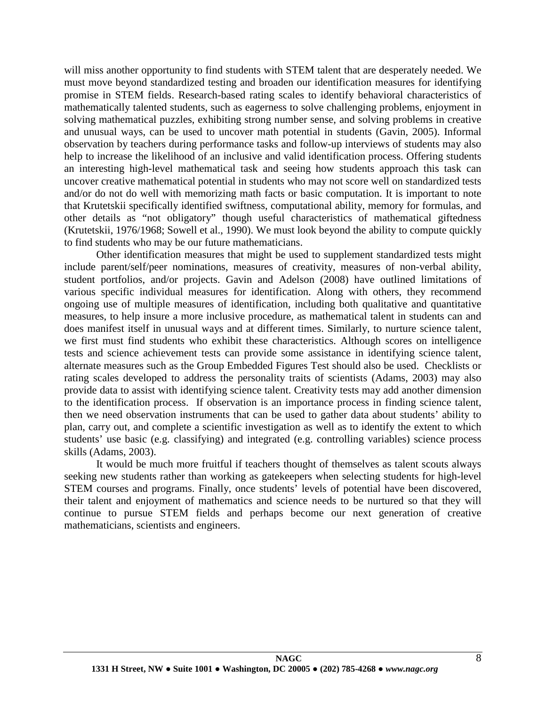will miss another opportunity to find students with STEM talent that are desperately needed. We must move beyond standardized testing and broaden our identification measures for identifying promise in STEM fields. Research-based rating scales to identify behavioral characteristics of mathematically talented students, such as eagerness to solve challenging problems, enjoyment in solving mathematical puzzles, exhibiting strong number sense, and solving problems in creative and unusual ways, can be used to uncover math potential in students (Gavin, 2005). Informal observation by teachers during performance tasks and follow-up interviews of students may also help to increase the likelihood of an inclusive and valid identification process. Offering students an interesting high-level mathematical task and seeing how students approach this task can uncover creative mathematical potential in students who may not score well on standardized tests and/or do not do well with memorizing math facts or basic computation. It is important to note that Krutetskii specifically identified swiftness, computational ability, memory for formulas, and other details as "not obligatory" though useful characteristics of mathematical giftedness (Krutetskii, 1976/1968; Sowell et al., 1990). We must look beyond the ability to compute quickly to find students who may be our future mathematicians.

Other identification measures that might be used to supplement standardized tests might include parent/self/peer nominations, measures of creativity, measures of non-verbal ability, student portfolios, and/or projects. Gavin and Adelson (2008) have outlined limitations of various specific individual measures for identification. Along with others, they recommend ongoing use of multiple measures of identification, including both qualitative and quantitative measures, to help insure a more inclusive procedure, as mathematical talent in students can and does manifest itself in unusual ways and at different times. Similarly, to nurture science talent, we first must find students who exhibit these characteristics. Although scores on intelligence tests and science achievement tests can provide some assistance in identifying science talent, alternate measures such as the Group Embedded Figures Test should also be used. Checklists or rating scales developed to address the personality traits of scientists (Adams, 2003) may also provide data to assist with identifying science talent. Creativity tests may add another dimension to the identification process. If observation is an importance process in finding science talent, then we need observation instruments that can be used to gather data about students' ability to plan, carry out, and complete a scientific investigation as well as to identify the extent to which students' use basic (e.g. classifying) and integrated (e.g. controlling variables) science process skills (Adams, 2003).

It would be much more fruitful if teachers thought of themselves as talent scouts always seeking new students rather than working as gatekeepers when selecting students for high-level STEM courses and programs. Finally, once students' levels of potential have been discovered, their talent and enjoyment of mathematics and science needs to be nurtured so that they will continue to pursue STEM fields and perhaps become our next generation of creative mathematicians, scientists and engineers.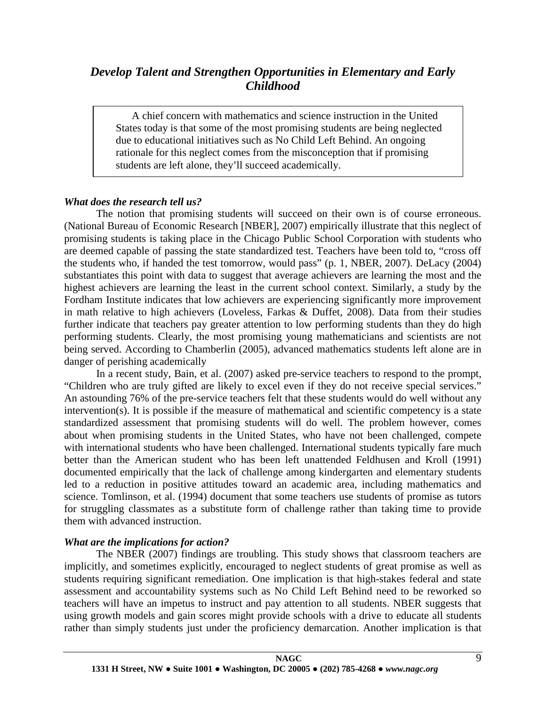# *Develop Talent and Strengthen Opportunities in Elementary and Early Childhood*

A chief concern with mathematics and science instruction in the United States today is that some of the most promising students are being neglected due to educational initiatives such as No Child Left Behind. An ongoing rationale for this neglect comes from the misconception that if promising students are left alone, they'll succeed academically.

## *What does the research tell us?*

The notion that promising students will succeed on their own is of course erroneous. (National Bureau of Economic Research [NBER], 2007) empirically illustrate that this neglect of promising students is taking place in the Chicago Public School Corporation with students who are deemed capable of passing the state standardized test. Teachers have been told to, "cross off the students who, if handed the test tomorrow, would pass" (p. 1, NBER, 2007). DeLacy (2004) substantiates this point with data to suggest that average achievers are learning the most and the highest achievers are learning the least in the current school context. Similarly, a study by the Fordham Institute indicates that low achievers are experiencing significantly more improvement in math relative to high achievers (Loveless, Farkas & Duffet, 2008). Data from their studies further indicate that teachers pay greater attention to low performing students than they do high performing students. Clearly, the most promising young mathematicians and scientists are not being served. According to Chamberlin (2005), advanced mathematics students left alone are in danger of perishing academically

In a recent study, Bain, et al. (2007) asked pre-service teachers to respond to the prompt, "Children who are truly gifted are likely to excel even if they do not receive special services." An astounding 76% of the pre-service teachers felt that these students would do well without any intervention(s). It is possible if the measure of mathematical and scientific competency is a state standardized assessment that promising students will do well. The problem however, comes about when promising students in the United States, who have not been challenged, compete with international students who have been challenged. International students typically fare much better than the American student who has been left unattended Feldhusen and Kroll (1991) documented empirically that the lack of challenge among kindergarten and elementary students led to a reduction in positive attitudes toward an academic area, including mathematics and science. Tomlinson, et al. (1994) document that some teachers use students of promise as tutors for struggling classmates as a substitute form of challenge rather than taking time to provide them with advanced instruction.

## *What are the implications for action?*

The NBER (2007) findings are troubling. This study shows that classroom teachers are implicitly, and sometimes explicitly, encouraged to neglect students of great promise as well as students requiring significant remediation. One implication is that high-stakes federal and state assessment and accountability systems such as No Child Left Behind need to be reworked so teachers will have an impetus to instruct and pay attention to all students. NBER suggests that using growth models and gain scores might provide schools with a drive to educate all students rather than simply students just under the proficiency demarcation. Another implication is that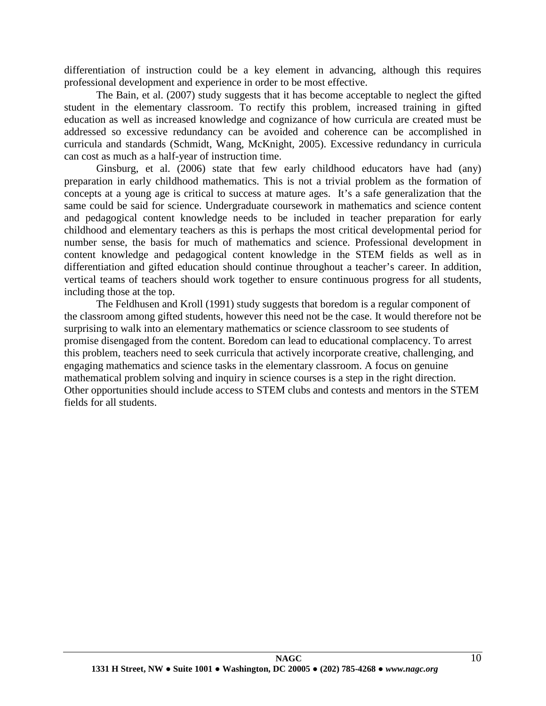differentiation of instruction could be a key element in advancing, although this requires professional development and experience in order to be most effective.

The Bain, et al. (2007) study suggests that it has become acceptable to neglect the gifted student in the elementary classroom. To rectify this problem, increased training in gifted education as well as increased knowledge and cognizance of how curricula are created must be addressed so excessive redundancy can be avoided and coherence can be accomplished in curricula and standards (Schmidt, Wang, McKnight, 2005). Excessive redundancy in curricula can cost as much as a half-year of instruction time.

Ginsburg, et al. (2006) state that few early childhood educators have had (any) preparation in early childhood mathematics. This is not a trivial problem as the formation of concepts at a young age is critical to success at mature ages. It's a safe generalization that the same could be said for science. Undergraduate coursework in mathematics and science content and pedagogical content knowledge needs to be included in teacher preparation for early childhood and elementary teachers as this is perhaps the most critical developmental period for number sense, the basis for much of mathematics and science. Professional development in content knowledge and pedagogical content knowledge in the STEM fields as well as in differentiation and gifted education should continue throughout a teacher's career. In addition, vertical teams of teachers should work together to ensure continuous progress for all students, including those at the top.

The Feldhusen and Kroll (1991) study suggests that boredom is a regular component of the classroom among gifted students, however this need not be the case. It would therefore not be surprising to walk into an elementary mathematics or science classroom to see students of promise disengaged from the content. Boredom can lead to educational complacency. To arrest this problem, teachers need to seek curricula that actively incorporate creative, challenging, and engaging mathematics and science tasks in the elementary classroom. A focus on genuine mathematical problem solving and inquiry in science courses is a step in the right direction. Other opportunities should include access to STEM clubs and contests and mentors in the STEM fields for all students.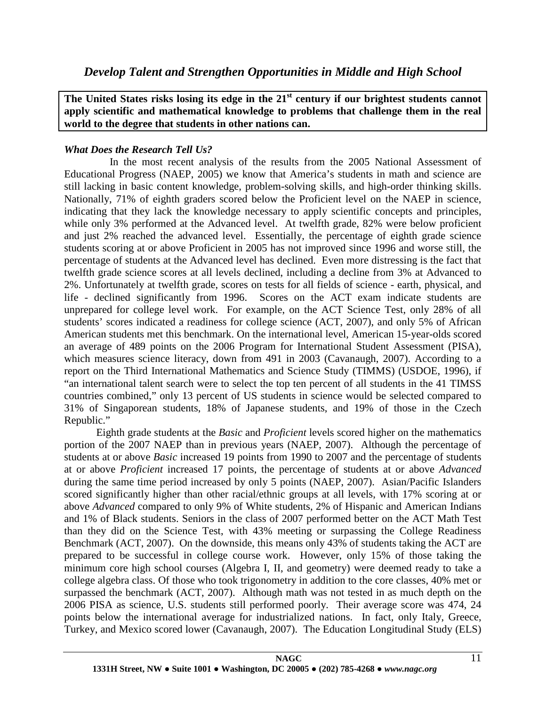**The United States risks losing its edge in the 21st century if our brightest students cannot apply scientific and mathematical knowledge to problems that challenge them in the real world to the degree that students in other nations can.**

# *What Does the Research Tell Us?*

 In the most recent analysis of the results from the 2005 National Assessment of Educational Progress (NAEP, 2005) we know that America's students in math and science are still lacking in basic content knowledge, problem-solving skills, and high-order thinking skills. Nationally, 71% of eighth graders scored below the Proficient level on the NAEP in science, indicating that they lack the knowledge necessary to apply scientific concepts and principles, while only 3% performed at the Advanced level. At twelfth grade, 82% were below proficient and just 2% reached the advanced level. Essentially, the percentage of eighth grade science students scoring at or above Proficient in 2005 has not improved since 1996 and worse still, the percentage of students at the Advanced level has declined. Even more distressing is the fact that twelfth grade science scores at all levels declined, including a decline from 3% at Advanced to 2%. Unfortunately at twelfth grade, scores on tests for all fields of science - earth, physical, and life - declined significantly from 1996. Scores on the ACT exam indicate students are unprepared for college level work. For example, on the ACT Science Test, only 28% of all students' scores indicated a readiness for college science (ACT, 2007), and only 5% of African American students met this benchmark. On the international level, American 15-year-olds scored an average of 489 points on the 2006 Program for International Student Assessment (PISA), which measures science literacy, down from 491 in 2003 (Cavanaugh, 2007). According to a report on the Third International Mathematics and Science Study (TIMMS) (USDOE, 1996), if "an international talent search were to select the top ten percent of all students in the 41 TIMSS countries combined," only 13 percent of US students in science would be selected compared to 31% of Singaporean students, 18% of Japanese students, and 19% of those in the Czech Republic."

Eighth grade students at the *Basic* and *Proficient* levels scored higher on the mathematics portion of the 2007 NAEP than in previous years (NAEP, 2007). Although the percentage of students at or above *Basic* increased 19 points from 1990 to 2007 and the percentage of students at or above *Proficient* increased 17 points, the percentage of students at or above *Advanced* during the same time period increased by only 5 points (NAEP, 2007). Asian/Pacific Islanders scored significantly higher than other racial/ethnic groups at all levels, with 17% scoring at or above *Advanced* compared to only 9% of White students, 2% of Hispanic and American Indians and 1% of Black students. Seniors in the class of 2007 performed better on the ACT Math Test than they did on the Science Test, with 43% meeting or surpassing the College Readiness Benchmark (ACT, 2007). On the downside, this means only 43% of students taking the ACT are prepared to be successful in college course work. However, only 15% of those taking the minimum core high school courses (Algebra I, II, and geometry) were deemed ready to take a college algebra class. Of those who took trigonometry in addition to the core classes, 40% met or surpassed the benchmark (ACT, 2007). Although math was not tested in as much depth on the 2006 PISA as science, U.S. students still performed poorly. Their average score was 474, 24 points below the international average for industrialized nations. In fact, only Italy, Greece, Turkey, and Mexico scored lower (Cavanaugh, 2007). The Education Longitudinal Study (ELS)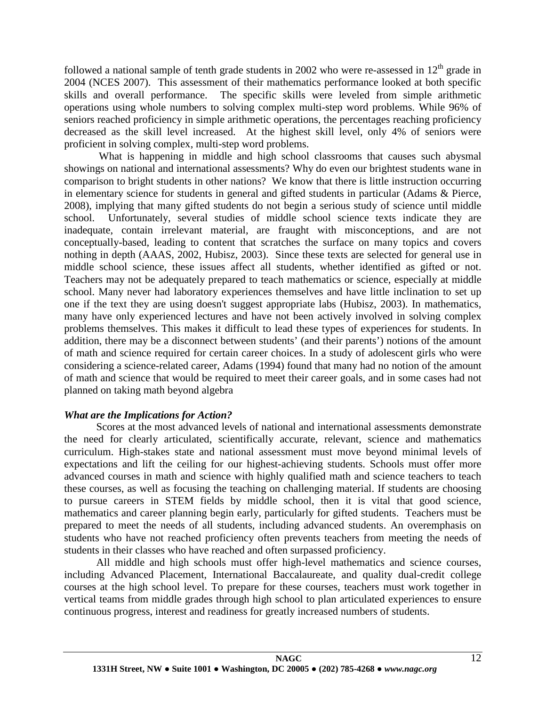followed a national sample of tenth grade students in 2002 who were re-assessed in  $12<sup>th</sup>$  grade in 2004 (NCES 2007). This assessment of their mathematics performance looked at both specific skills and overall performance. The specific skills were leveled from simple arithmetic operations using whole numbers to solving complex multi-step word problems. While 96% of seniors reached proficiency in simple arithmetic operations, the percentages reaching proficiency decreased as the skill level increased. At the highest skill level, only 4% of seniors were proficient in solving complex, multi-step word problems.

What is happening in middle and high school classrooms that causes such abysmal showings on national and international assessments? Why do even our brightest students wane in comparison to bright students in other nations? We know that there is little instruction occurring in elementary science for students in general and gifted students in particular (Adams & Pierce, 2008), implying that many gifted students do not begin a serious study of science until middle school. Unfortunately, several studies of middle school science texts indicate they are inadequate, contain irrelevant material, are fraught with misconceptions, and are not conceptually-based, leading to content that scratches the surface on many topics and covers nothing in depth (AAAS, 2002, Hubisz, 2003). Since these texts are selected for general use in middle school science, these issues affect all students, whether identified as gifted or not. Teachers may not be adequately prepared to teach mathematics or science, especially at middle school. Many never had laboratory experiences themselves and have little inclination to set up one if the text they are using doesn't suggest appropriate labs (Hubisz, 2003). In mathematics, many have only experienced lectures and have not been actively involved in solving complex problems themselves. This makes it difficult to lead these types of experiences for students. In addition, there may be a disconnect between students' (and their parents') notions of the amount of math and science required for certain career choices. In a study of adolescent girls who were considering a science-related career, Adams (1994) found that many had no notion of the amount of math and science that would be required to meet their career goals, and in some cases had not planned on taking math beyond algebra

# *What are the Implications for Action?*

Scores at the most advanced levels of national and international assessments demonstrate the need for clearly articulated, scientifically accurate, relevant, science and mathematics curriculum. High-stakes state and national assessment must move beyond minimal levels of expectations and lift the ceiling for our highest-achieving students. Schools must offer more advanced courses in math and science with highly qualified math and science teachers to teach these courses, as well as focusing the teaching on challenging material. If students are choosing to pursue careers in STEM fields by middle school, then it is vital that good science, mathematics and career planning begin early, particularly for gifted students. Teachers must be prepared to meet the needs of all students, including advanced students. An overemphasis on students who have not reached proficiency often prevents teachers from meeting the needs of students in their classes who have reached and often surpassed proficiency.

All middle and high schools must offer high-level mathematics and science courses, including Advanced Placement, International Baccalaureate, and quality dual-credit college courses at the high school level. To prepare for these courses, teachers must work together in vertical teams from middle grades through high school to plan articulated experiences to ensure continuous progress, interest and readiness for greatly increased numbers of students.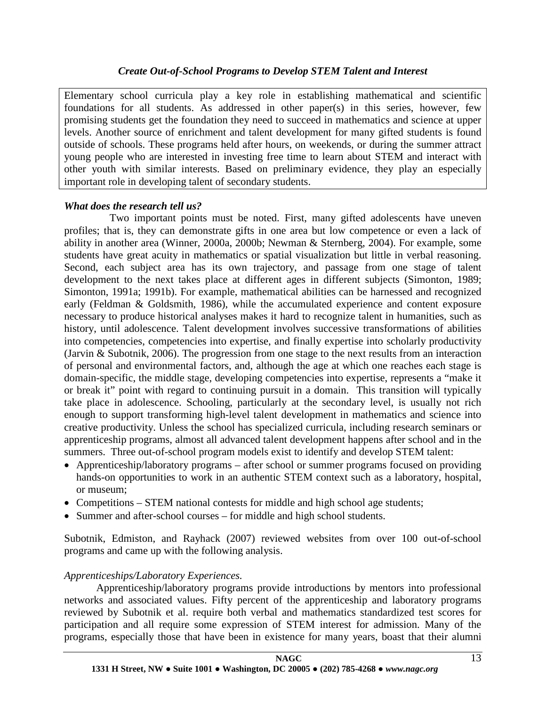# *Create Out-of-School Programs to Develop STEM Talent and Interest*

Elementary school curricula play a key role in establishing mathematical and scientific foundations for all students. As addressed in other paper(s) in this series, however, few promising students get the foundation they need to succeed in mathematics and science at upper levels. Another source of enrichment and talent development for many gifted students is found outside of schools. These programs held after hours, on weekends, or during the summer attract young people who are interested in investing free time to learn about STEM and interact with other youth with similar interests. Based on preliminary evidence, they play an especially important role in developing talent of secondary students.

# *What does the research tell us?*

 Two important points must be noted. First, many gifted adolescents have uneven profiles; that is, they can demonstrate gifts in one area but low competence or even a lack of ability in another area (Winner, 2000a, 2000b; Newman & Sternberg, 2004). For example, some students have great acuity in mathematics or spatial visualization but little in verbal reasoning. Second, each subject area has its own trajectory, and passage from one stage of talent development to the next takes place at different ages in different subjects (Simonton, 1989; Simonton, 1991a; 1991b). For example, mathematical abilities can be harnessed and recognized early (Feldman & Goldsmith, 1986), while the accumulated experience and content exposure necessary to produce historical analyses makes it hard to recognize talent in humanities, such as history, until adolescence. Talent development involves successive transformations of abilities into competencies, competencies into expertise, and finally expertise into scholarly productivity (Jarvin & Subotnik, 2006). The progression from one stage to the next results from an interaction of personal and environmental factors, and, although the age at which one reaches each stage is domain-specific, the middle stage, developing competencies into expertise, represents a "make it or break it" point with regard to continuing pursuit in a domain. This transition will typically take place in adolescence. Schooling, particularly at the secondary level, is usually not rich enough to support transforming high-level talent development in mathematics and science into creative productivity. Unless the school has specialized curricula, including research seminars or apprenticeship programs, almost all advanced talent development happens after school and in the summers. Three out-of-school program models exist to identify and develop STEM talent:

- Apprenticeship/laboratory programs after school or summer programs focused on providing hands-on opportunities to work in an authentic STEM context such as a laboratory, hospital, or museum;
- Competitions STEM national contests for middle and high school age students;
- Summer and after-school courses for middle and high school students.

Subotnik, Edmiston, and Rayhack (2007) reviewed websites from over 100 out-of-school programs and came up with the following analysis.

# *Apprenticeships/Laboratory Experiences.*

Apprenticeship/laboratory programs provide introductions by mentors into professional networks and associated values. Fifty percent of the apprenticeship and laboratory programs reviewed by Subotnik et al. require both verbal and mathematics standardized test scores for participation and all require some expression of STEM interest for admission. Many of the programs, especially those that have been in existence for many years, boast that their alumni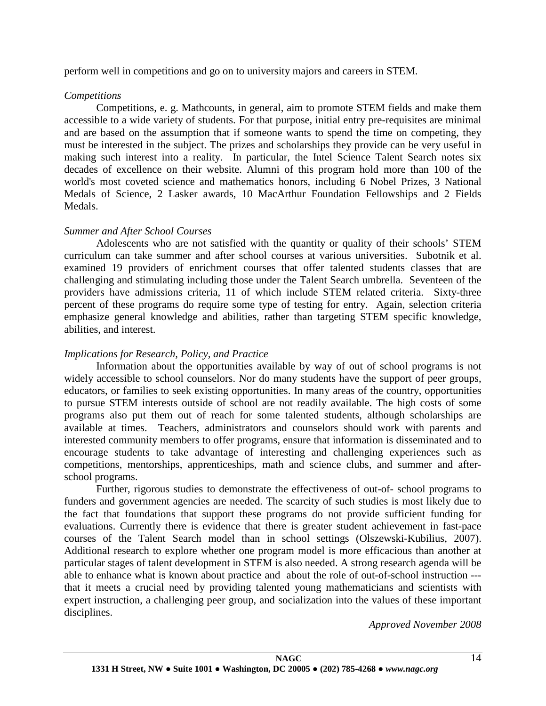perform well in competitions and go on to university majors and careers in STEM.

## *Competitions*

Competitions, e. g. Mathcounts, in general, aim to promote STEM fields and make them accessible to a wide variety of students. For that purpose, initial entry pre-requisites are minimal and are based on the assumption that if someone wants to spend the time on competing, they must be interested in the subject. The prizes and scholarships they provide can be very useful in making such interest into a reality. In particular, the Intel Science Talent Search notes six decades of excellence on their website. Alumni of this program hold more than 100 of the world's most coveted science and mathematics honors, including 6 Nobel Prizes, 3 National Medals of Science, 2 Lasker awards, 10 MacArthur Foundation Fellowships and 2 Fields Medals.

# *Summer and After School Courses*

Adolescents who are not satisfied with the quantity or quality of their schools' STEM curriculum can take summer and after school courses at various universities. Subotnik et al. examined 19 providers of enrichment courses that offer talented students classes that are challenging and stimulating including those under the Talent Search umbrella. Seventeen of the providers have admissions criteria, 11 of which include STEM related criteria. Sixty-three percent of these programs do require some type of testing for entry. Again, selection criteria emphasize general knowledge and abilities, rather than targeting STEM specific knowledge, abilities, and interest.

# *Implications for Research, Policy, and Practice*

Information about the opportunities available by way of out of school programs is not widely accessible to school counselors. Nor do many students have the support of peer groups, educators, or families to seek existing opportunities. In many areas of the country, opportunities to pursue STEM interests outside of school are not readily available. The high costs of some programs also put them out of reach for some talented students, although scholarships are available at times. Teachers, administrators and counselors should work with parents and interested community members to offer programs, ensure that information is disseminated and to encourage students to take advantage of interesting and challenging experiences such as competitions, mentorships, apprenticeships, math and science clubs, and summer and afterschool programs.

Further, rigorous studies to demonstrate the effectiveness of out-of- school programs to funders and government agencies are needed. The scarcity of such studies is most likely due to the fact that foundations that support these programs do not provide sufficient funding for evaluations. Currently there is evidence that there is greater student achievement in fast-pace courses of the Talent Search model than in school settings (Olszewski-Kubilius, 2007). Additional research to explore whether one program model is more efficacious than another at particular stages of talent development in STEM is also needed. A strong research agenda will be able to enhance what is known about practice and about the role of out-of-school instruction -- that it meets a crucial need by providing talented young mathematicians and scientists with expert instruction, a challenging peer group, and socialization into the values of these important disciplines.

*Approved November 2008*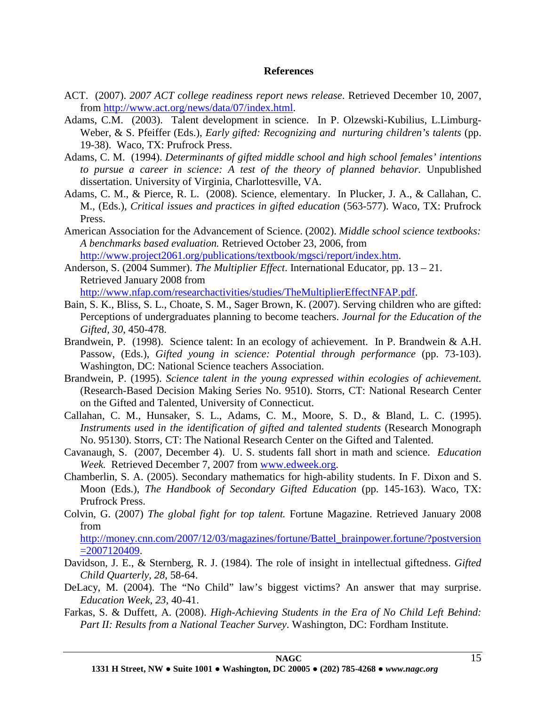### **References**

- ACT. (2007). *2007 ACT college readiness report news release*. Retrieved December 10, 2007, from [http://www.act.org/news/data/07/index.html.](http://www.act.org/news/data/07/index.html)
- Adams, C.M. (2003). Talent development in science. In P. Olzewski-Kubilius, L.Limburg-Weber, & S. Pfeiffer (Eds.), *Early gifted: Recognizing and nurturing children's talents* (pp. 19-38). Waco, TX: Prufrock Press.
- Adams, C. M. (1994). *Determinants of gifted middle school and high school females' intentions to pursue a career in science: A test of the theory of planned behavior.* Unpublished dissertation. University of Virginia, Charlottesville, VA.
- Adams, C. M., & Pierce, R. L. (2008). Science, elementary. In Plucker, J. A., & Callahan, C. M., (Eds.), *Critical issues and practices in gifted education* (563-577). Waco, TX: Prufrock Press.
- American Association for the Advancement of Science. (2002). *Middle school science textbooks: A benchmarks based evaluation.* Retrieved October 23, 2006, from [http://www.project2061.org/publications/textbook/mgsci/report/index.htm.](http://www.project2061.org/publications/textbook/mgsci/report/index.htm)
- Anderson, S. (2004 Summer). *The Multiplier Effect*. International Educator*,* pp. 13 21. Retrieved January 2008 from

[http://www.nfap.com/researchactivities/studies/TheMultiplierEffectNFAP.pdf.](http://www.nfap.com/researchactivities/studies/TheMultiplierEffectNFAP.pdf)

- Bain, S. K., Bliss, S. L., Choate, S. M., Sager Brown, K. (2007). Serving children who are gifted: Perceptions of undergraduates planning to become teachers. *Journal for the Education of the Gifted, 30*, 450-478.
- Brandwein, P. (1998). Science talent: In an ecology of achievement. In P. Brandwein & A.H. Passow, (Eds.), *Gifted young in science: Potential through performance* (pp. 73-103). Washington, DC: National Science teachers Association.
- Brandwein, P. (1995). *Science talent in the young expressed within ecologies of achievement.* (Research-Based Decision Making Series No. 9510). Storrs, CT: National Research Center on the Gifted and Talented, University of Connecticut.
- Callahan, C. M., Hunsaker, S. L., Adams, C. M., Moore, S. D., & Bland, L. C. (1995). *Instruments used in the identification of gifted and talented students* (Research Monograph No. 95130). Storrs, CT: The National Research Center on the Gifted and Talented.
- Cavanaugh, S. (2007, December 4). U. S. students fall short in math and science. *Education Week.* Retrieved December 7, 2007 from [www.edweek.org.](http://www.edweek.org/)
- Chamberlin, S. A. (2005). Secondary mathematics for high-ability students. In F. Dixon and S. Moon (Eds.), *The Handbook of Secondary Gifted Education* (pp. 145-163). Waco, TX: Prufrock Press.
- Colvin, G. (2007) *The global fight for top talent.* Fortune Magazine. Retrieved January 2008 from

[http://money.cnn.com/2007/12/03/magazines/fortune/Battel\\_brainpower.fortune/?postversion](http://money.cnn.com/2007/12/03/magazines/fortune/Battel_brainpower.fortune/?postversion=2007120409)  $=2007120409.$ 

- Davidson, J. E., & Sternberg, R. J. (1984). The role of insight in intellectual giftedness. *Gifted Child Quarterly, 28*, 58-64.
- DeLacy, M. (2004). The "No Child" law's biggest victims? An answer that may surprise. *Education Week, 23,* 40-41.
- Farkas, S. & Duffett, A. (2008). *High-Achieving Students in the Era of No Child Left Behind: Part II: Results from a National Teacher Survey*. Washington, DC: Fordham Institute.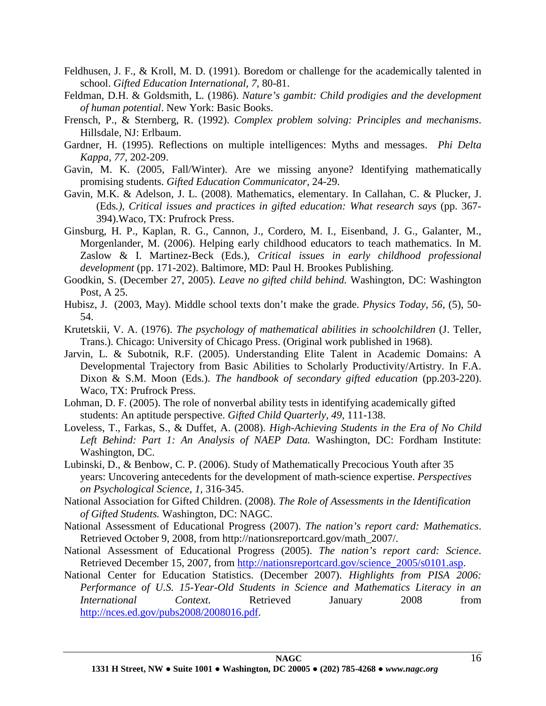- Feldhusen, J. F., & Kroll, M. D. (1991). Boredom or challenge for the academically talented in school. *Gifted Education International, 7*, 80-81.
- Feldman, D.H. & Goldsmith, L. (1986). *Nature's gambit: Child prodigies and the development of human potential*. New York: Basic Books.
- Frensch, P., & Sternberg, R. (1992). *Complex problem solving: Principles and mechanisms*. Hillsdale, NJ: Erlbaum.
- Gardner, H. (1995). Reflections on multiple intelligences: Myths and messages. *Phi Delta Kappa, 77,* 202-209.
- Gavin, M. K. (2005, Fall/Winter). Are we missing anyone? Identifying mathematically promising students. *Gifted Education Communicator*, 24-29.
- Gavin, M.K. & Adelson, J. L. (2008). Mathematics, elementary. In Callahan, C. & Plucker, J. (Eds*.), Critical issues and practices in gifted education: What research says* (pp. 367- 394).Waco, TX: Prufrock Press.
- Ginsburg, H. P., Kaplan, R. G., Cannon, J., Cordero, M. I., Eisenband, J. G., Galanter, M., Morgenlander, M. (2006). Helping early childhood educators to teach mathematics. In M. Zaslow & I. Martinez-Beck (Eds.), *Critical issues in early childhood professional development* (pp. 171-202). Baltimore, MD: Paul H. Brookes Publishing.
- Goodkin, S. (December 27, 2005). *Leave no gifted child behind.* Washington, DC: Washington Post, A 25.
- Hubisz, J. (2003, May). Middle school texts don't make the grade. *Physics Today, 56*, (5), 50- 54.
- Krutetskii, V. A. (1976). *The psychology of mathematical abilities in schoolchildren* (J. Teller, Trans.). Chicago: University of Chicago Press. (Original work published in 1968).
- Jarvin, L. & Subotnik, R.F. (2005). Understanding Elite Talent in Academic Domains: A Developmental Trajectory from Basic Abilities to Scholarly Productivity/Artistry. In F.A. Dixon & S.M. Moon (Eds.). *The handbook of secondary gifted education* (pp.203-220). Waco, TX: Prufrock Press.
- Lohman, D. F. (2005). The role of nonverbal ability tests in identifying academically gifted students: An aptitude perspective. *Gifted Child Quarterly, 49*, 111-138.
- Loveless, T., Farkas, S., & Duffet, A. (2008). *High-Achieving Students in the Era of No Child Left Behind: Part 1: An Analysis of NAEP Data.* Washington, DC: Fordham Institute: Washington, DC.
- Lubinski, D., & Benbow, C. P. (2006). Study of Mathematically Precocious Youth after 35 years: Uncovering antecedents for the development of math-science expertise. *Perspectives on Psychological Science, 1,* 316-345.
- National Association for Gifted Children. (2008). *The Role of Assessments in the Identification of Gifted Students.* Washington, DC: NAGC.
- National Assessment of Educational Progress (2007). *The nation's report card: Mathematics*. Retrieved October 9, 2008, from http://nationsreportcard.gov/math\_2007/.
- National Assessment of Educational Progress (2005). *The nation's report card: Science*. Retrieved December 15, 2007, from [http://nationsreportcard.gov/science\\_2005/s0101.asp.](http://nationsreportcard.gov/science_2005/s0101.asp)
- National Center for Education Statistics. (December 2007). *Highlights from PISA 2006: Performance of U.S. 15-Year-Old Students in Science and Mathematics Literacy in an International Context.* Retrieved January 2008 from [http://nces.ed.gov/pubs2008/2008016.pdf.](http://nces.ed.gov/pubs2008/2008016.pdf)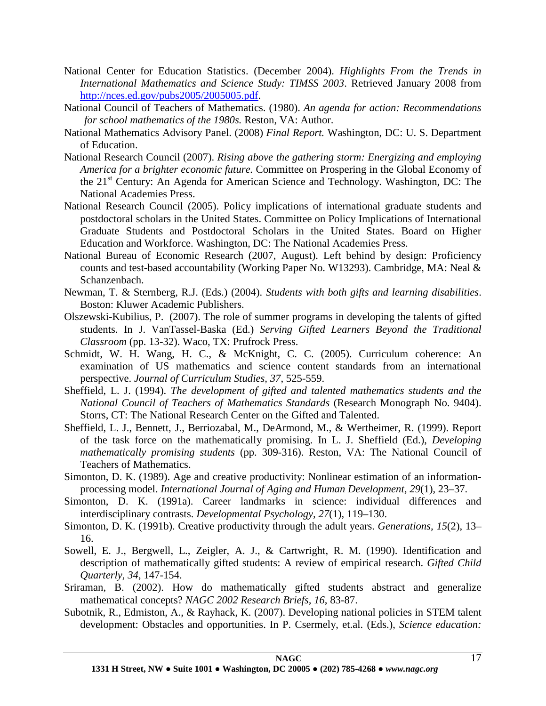- National Center for Education Statistics. (December 2004). *Highlights From the Trends in International Mathematics and Science Study: TIMSS 2003*. Retrieved January 2008 from [http://nces.ed.gov/pubs2005/2005005.pdf.](http://nces.ed.gov/pubs2005/2005005.pdf)
- National Council of Teachers of Mathematics. (1980). *An agenda for action: Recommendations for school mathematics of the 1980s.* Reston, VA: Author.
- National Mathematics Advisory Panel. (2008) *Final Report.* Washington, DC: U. S. Department of Education.
- National Research Council (2007). *Rising above the gathering storm: Energizing and employing America for a brighter economic future.* Committee on Prospering in the Global Economy of the 21st Century: An Agenda for American Science and Technology. Washington, DC: The National Academies Press.
- National Research Council (2005). Policy implications of international graduate students and postdoctoral scholars in the United States. Committee on Policy Implications of International Graduate Students and Postdoctoral Scholars in the United States. Board on Higher Education and Workforce. Washington, DC: The National Academies Press.
- National Bureau of Economic Research (2007, August). Left behind by design: Proficiency counts and test-based accountability (Working Paper No. W13293). Cambridge, MA: Neal & Schanzenbach.
- Newman, T. & Sternberg, R.J. (Eds.) (2004). *Students with both gifts and learning disabilities*. Boston: Kluwer Academic Publishers.
- Olszewski-Kubilius, P. (2007). The role of summer programs in developing the talents of gifted students. In J. VanTassel-Baska (Ed.) *Serving Gifted Learners Beyond the Traditional Classroom* (pp. 13-32). Waco, TX: Prufrock Press.
- Schmidt, W. H. Wang, H. C., & McKnight, C. C. (2005). Curriculum coherence: An examination of US mathematics and science content standards from an international perspective. *Journal of Curriculum Studies, 37*, 525-559.
- Sheffield, L. J. (1994). *The development of gifted and talented mathematics students and the National Council of Teachers of Mathematics Standards* (Research Monograph No. 9404). Storrs, CT: The National Research Center on the Gifted and Talented.
- Sheffield, L. J., Bennett, J., Berriozabal, M., DeArmond, M., & Wertheimer, R. (1999). Report of the task force on the mathematically promising. In L. J. Sheffield (Ed.), *Developing mathematically promising students* (pp. 309-316). Reston, VA: The National Council of Teachers of Mathematics.
- Simonton, D. K. (1989). Age and creative productivity: Nonlinear estimation of an informationprocessing model. *International Journal of Aging and Human Development, 29*(1), 23–37.
- Simonton, D. K. (1991a). Career landmarks in science: individual differences and interdisciplinary contrasts. *Developmental Psychology, 27*(1), 119–130.
- Simonton, D. K. (1991b). Creative productivity through the adult years. *Generations, 15*(2), 13– 16.
- Sowell, E. J., Bergwell, L., Zeigler, A. J., & Cartwright, R. M. (1990). Identification and description of mathematically gifted students: A review of empirical research. *Gifted Child Quarterly, 34*, 147-154.
- Sriraman, B. (2002). How do mathematically gifted students abstract and generalize mathematical concepts? *NAGC 2002 Research Briefs, 16*, 83-87.
- Subotnik, R., Edmiston, A., & Rayhack, K. (2007). Developing national policies in STEM talent development: Obstacles and opportunities. In P. Csermely, et.al. (Eds.), *Science education:*